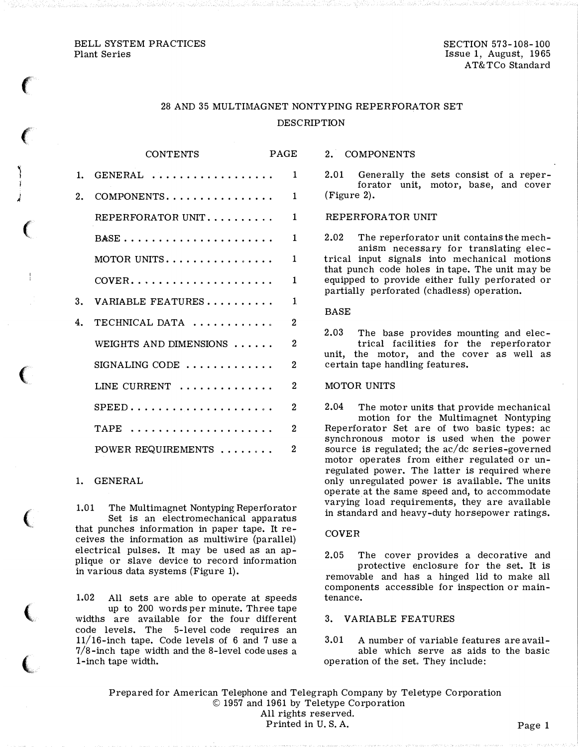## BELL SYSTEM PRACTICES Plant Series

 $\epsilon$ 

 $\left($ 

i

�

 $\big($ 

 $\big($ 

 $\big($ 

 $\big($ 

(

# 28 AND 35 MULTIMAGNET NONTYPING REPERFORATOR SET DESCRIPTION

|    | <b>CONTENTS</b>                                           | PAGE           |  |
|----|-----------------------------------------------------------|----------------|--|
|    | $1.$ GENERAL                                              | $\mathbf{1}$   |  |
| 2. | COMPONENTS                                                | $\mathbf{1}$   |  |
|    | REPERFORATOR UNIT                                         | $\mathbf{1}$   |  |
|    |                                                           | $\mathbf{1}$   |  |
|    |                                                           | $\mathbf{1}$   |  |
|    | $\text{COVER.} \dots \dots \dots \dots \dots \dots \dots$ | $\mathbf{1}$   |  |
|    | 3. VARIABLE FEATURES                                      | $\mathbf{1}$   |  |
| 4. | TECHNICAL DATA                                            | $\overline{2}$ |  |
|    | WEIGHTS AND DIMENSIONS $\ldots$                           | $\overline{2}$ |  |
|    | $SIGNALING CODE$                                          | $\overline{2}$ |  |
|    | LINE CURRENT $\dots\dots\dots\dots$                       | $\overline{2}$ |  |
|    | $SPEED \ldots \ldots \ldots \ldots \ldots \ldots \ldots$  | $\overline{2}$ |  |
|    | TAPE                                                      | $\overline{2}$ |  |
|    | POWER REQUIREMENTS                                        | $\overline{2}$ |  |

# 1. GENERAL

1.01 The Multimagnet Nontyping Reperforator Set is an electromechanical apparatus that punches information in paper tape. It receives the information as multiwire (parallel) electrical pulses. It may be used as an applique or slave device to record information in various data systems {Figure 1).

1.02 All sets are able to operate at speeds up to 200 words per minute. Three tape widths are available for the four different code levels. The 5-level code requires an 11/16-inch tape. Code levels of 6 and 7 use a 7/8-inch tape width and the 8-level code uses a l-inch tape width.

2. COMPONENTS

2.01 Generally the sets consist of a reperforator unit, motor, base, and cover (Figure 2).

## REPERFORA TOR UNIT

2.02 The reperforator unit contains the mechanism necessary for translating electrical input signals into mechanical motions that punch code holes in tape. The unit may be equipped to provide either fully perforated or partially perforated (chadless) operation.

#### BASE

2.03 The base provides mounting and electrical facilities for the reperforator unit, the motor, and the cover as well as certain tape handling features.

# MOTOR UNITS

2.04 The motor units that provide mechanical motion for the Multimagnet Nontyping Reperforator Set are of two basic types: ac synchronous motor is used when the power source is regulated; the ac/dc series-governed motor operates from either regulated or unregulated power. The latter is required where only unregulated power is available. The units operate at the same speed and, to accommodate varying load requirements, they are available in standard and heavy-duty horsepower ratings.

#### COVER

2.05 The cover provides a decorative and protective enclosure for the set. It is removable and has a hinged lid to make all components accessible for inspection or maintenance.

## 3. VARIABLE FEATURES

3.01 A number of variable features are available which serve as aids to the basic operation of the set. They include:

Prepared for American Telephone and Telegraph Company by Teletype Corporation © <sup>19</sup> 57 and 1961 by Teletype Corporation All rights reserved. Printed in U.S.A. Page 1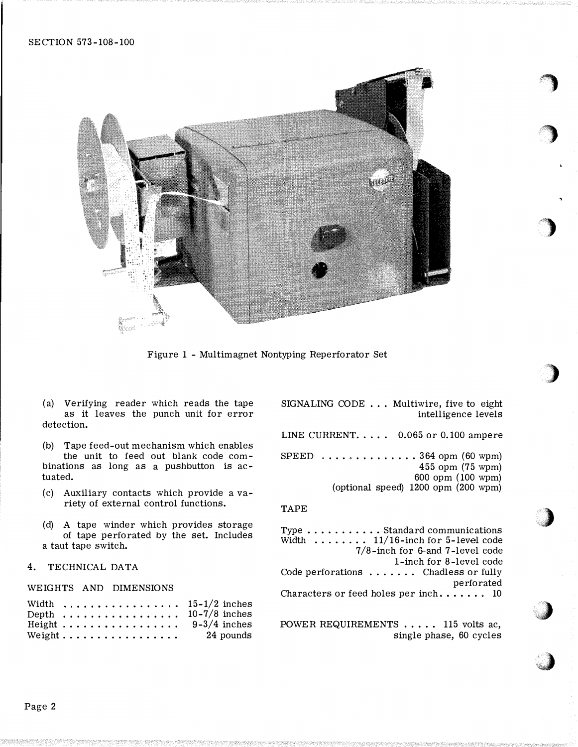

Figure 1 - Multimagnet Nontyping Reperforator Set

(a) Verifying reader which reads the tape as it leaves the punch unit for error detection.

(b) Tape feed-out mechanism which enables the unit to feed out blank code combinations as long as a pushbutton is actuated.

- (c) Auxiliary contacts which provide a variety of external control functions.
- (d) A tape winder which provides storage of tape perforated by the set. Includes a taut tape switch.

# 4. TECHNICAL DATA

### WEIGHTS AND DIMENSIONS

|                                        |  |  |  |  |  |  |  |  | Width $\ldots \ldots \ldots \ldots \ldots \ldots 15-1/2$ inches |
|----------------------------------------|--|--|--|--|--|--|--|--|-----------------------------------------------------------------|
|                                        |  |  |  |  |  |  |  |  | Depth $\ldots \ldots \ldots \ldots \ldots \ldots 10-7/8$ inches |
|                                        |  |  |  |  |  |  |  |  | Height 9-3/4 inches                                             |
| Weight $\dots \dots \dots \dots \dots$ |  |  |  |  |  |  |  |  | 24 pounds                                                       |

SIGNALING CODE ... Multiwire, five to eight intelligence levels

,,

'')· <sup>w</sup>

.J

**Just all and the contract of the contract of the contract of the contract of the contract of the contract of the contract of the contract of the contract of the contract of the contract of the contract of the contract of**  $\sim$ 

LINE CURRENT.  $\ldots$  0.065 or 0.100 ampere SPEED  $\dots \dots \dots \dots \dots 364$  opm (60 wpm) 455 opm (75 wpm) 600 opm ( 100 wpm) (optional speed) 1200 opm (200 wpm)

## TAPE

Type ........... Standard communications Width  $\dots \dots$  11/16-inch for 5-level code 7/8-inch for &-and 7-level code l-inch for 8-level code Code perforations ...... Chadless or fully perforated Characters or feed holes per inch.  $\dots$  . 10

POWER REQUIREMENTS . . . . . 115 volts ac. single phase, 60 cycles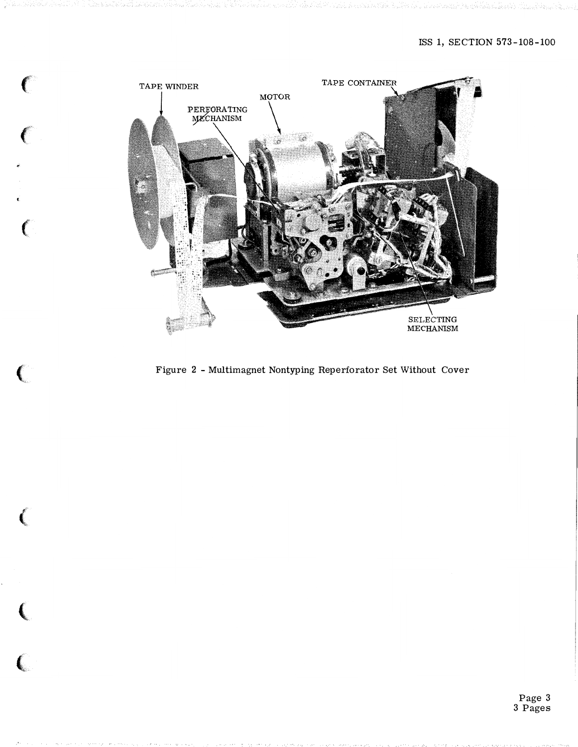

<sup>f</sup>

 $\epsilon$ 

€

€

 $\sim$  (  $\sim$   $\sim$   $\sim$   $\sim$   $\sim$   $\sim$ 

 $\left($ 

í

line and the control of the con-

 $\overline{\mathbf{C}}$ 

Figure 2 - Multimagnet Nontyping Reperforator Set Without Cover